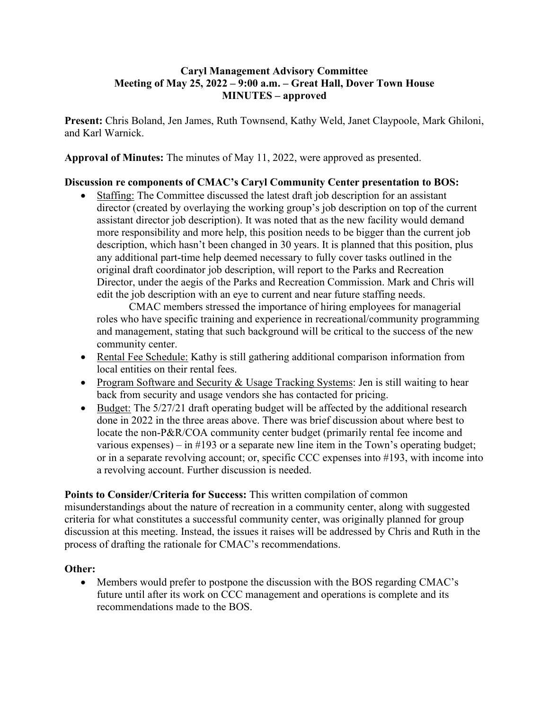## **Caryl Management Advisory Committee Meeting of May 25, 2022 – 9:00 a.m. – Great Hall, Dover Town House MINUTES – approved**

**Present:** Chris Boland, Jen James, Ruth Townsend, Kathy Weld, Janet Claypoole, Mark Ghiloni, and Karl Warnick.

**Approval of Minutes:** The minutes of May 11, 2022, were approved as presented.

## **Discussion re components of CMAC's Caryl Community Center presentation to BOS:**

• Staffing: The Committee discussed the latest draft job description for an assistant director (created by overlaying the working group's job description on top of the current assistant director job description). It was noted that as the new facility would demand more responsibility and more help, this position needs to be bigger than the current job description, which hasn't been changed in 30 years. It is planned that this position, plus any additional part-time help deemed necessary to fully cover tasks outlined in the original draft coordinator job description, will report to the Parks and Recreation Director, under the aegis of the Parks and Recreation Commission. Mark and Chris will edit the job description with an eye to current and near future staffing needs.

CMAC members stressed the importance of hiring employees for managerial roles who have specific training and experience in recreational/community programming and management, stating that such background will be critical to the success of the new community center.

- Rental Fee Schedule: Kathy is still gathering additional comparison information from local entities on their rental fees.
- Program Software and Security & Usage Tracking Systems: Jen is still waiting to hear back from security and usage vendors she has contacted for pricing.
- Budget: The 5/27/21 draft operating budget will be affected by the additional research done in 2022 in the three areas above. There was brief discussion about where best to locate the non-P&R/COA community center budget (primarily rental fee income and various expenses) – in  $\#193$  or a separate new line item in the Town's operating budget; or in a separate revolving account; or, specific CCC expenses into #193, with income into a revolving account. Further discussion is needed.

**Points to Consider/Criteria for Success:** This written compilation of common misunderstandings about the nature of recreation in a community center, along with suggested criteria for what constitutes a successful community center, was originally planned for group discussion at this meeting. Instead, the issues it raises will be addressed by Chris and Ruth in the process of drafting the rationale for CMAC's recommendations.

## **Other:**

• Members would prefer to postpone the discussion with the BOS regarding CMAC's future until after its work on CCC management and operations is complete and its recommendations made to the BOS.